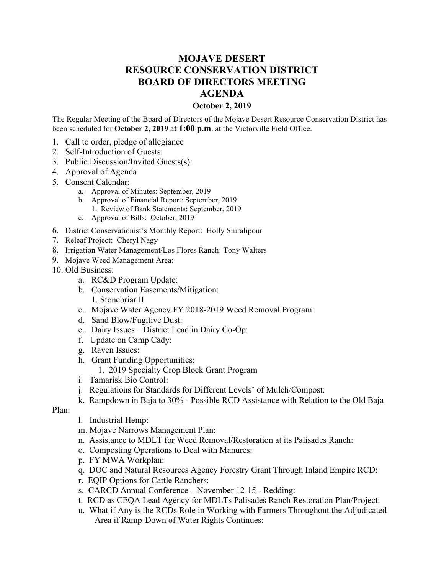## **MOJAVE DESERT RESOURCE CONSERVATION DISTRICT BOARD OF DIRECTORS MEETING AGENDA**

## **October 2, 2019**

The Regular Meeting of the Board of Directors of the Mojave Desert Resource Conservation District has been scheduled for **October 2, 2019** at **1:00 p.m**. at the Victorville Field Office.

- 1. Call to order, pledge of allegiance
- 2. Self-Introduction of Guests:
- 3. Public Discussion/Invited Guests(s):
- 4. Approval of Agenda
- 5. Consent Calendar:
	- a. Approval of Minutes: September, 2019
	- b. Approval of Financial Report: September, 2019
		- 1. Review of Bank Statements: September, 2019
	- c. Approval of Bills: October, 2019
- 6. District Conservationist's Monthly Report: Holly Shiralipour
- 7. Releaf Project: Cheryl Nagy
- 8. Irrigation Water Management/Los Flores Ranch: Tony Walters
- 9. Mojave Weed Management Area:
- 10. Old Business:
	- a. RC&D Program Update:
	- b. Conservation Easements/Mitigation:
		- 1. Stonebriar II
	- c. Mojave Water Agency FY 2018-2019 Weed Removal Program:
	- d. Sand Blow/Fugitive Dust:
	- e. Dairy Issues District Lead in Dairy Co-Op:
	- f. Update on Camp Cady:
	- g. Raven Issues:
	- h. Grant Funding Opportunities:
		- 1. 2019 Specialty Crop Block Grant Program
	- i. Tamarisk Bio Control:
	- j. Regulations for Standards for Different Levels' of Mulch/Compost:
	- k. Rampdown in Baja to 30% Possible RCD Assistance with Relation to the Old Baja

Plan:

- l. Industrial Hemp:
- m. Mojave Narrows Management Plan:
- n. Assistance to MDLT for Weed Removal/Restoration at its Palisades Ranch:
- o. Composting Operations to Deal with Manures:
- p. FY MWA Workplan:
- q. DOC and Natural Resources Agency Forestry Grant Through Inland Empire RCD:
- r. EQIP Options for Cattle Ranchers:
- s. CARCD Annual Conference November 12-15 Redding:
- t. RCD as CEQA Lead Agency for MDLTs Palisades Ranch Restoration Plan/Project:
- u. What if Any is the RCDs Role in Working with Farmers Throughout the Adjudicated Area if Ramp-Down of Water Rights Continues: